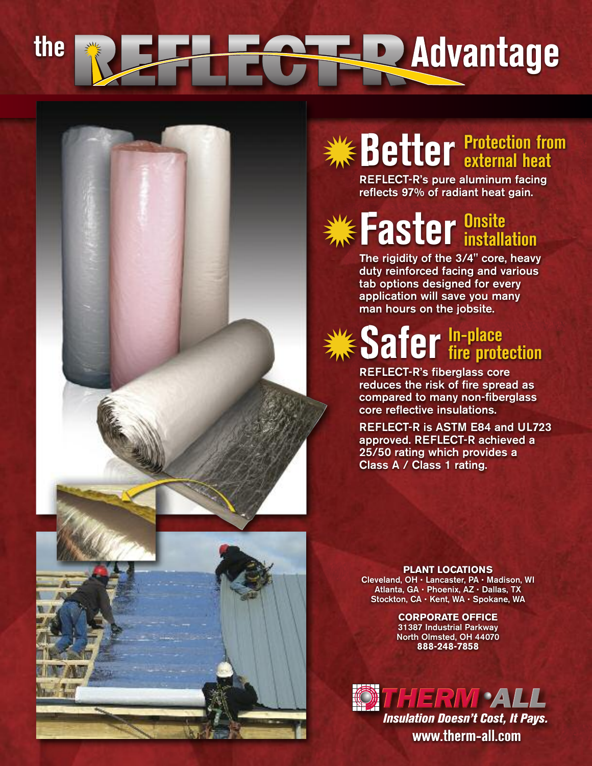# **t h e A d v a n t a g e**

#### Better **external heat external heat**

**REFLECT-R's pure aluminum facing** reflects 97% of radiant heat gain.

### **Faster install** installation

The rigidity of the 3/4" core, heavy duty reinforced facing and various tab options designed for every application will save you many man hours on the jobsite.

#### Safer lin-place fire protection

**REFLECT-R's fiberglass core** reduces the risk of fire spread as compared to many non-fiberglass core reflective insulations.

REFLECT-R is ASTM E84 and UL723 approved. REFLECT-R achieved a 25/50 rating which provides a Class A / Class 1 rating.

#### **PLANT LOCATIONS**

Cleveland, OH · Lancaster, PA · Madison, WI Atlanta, GA · Phoenix, AZ · Dallas, TX Stockton, CA · Kent, WA · Spokane, WA

> **CORPORATE OFFICE** 31387 Industrial Parkway North Olmsted, OH 44070 **8 8 8 - 2 4 8 - 7 8 5 8**



**w w w t h e r m - a l l c o m . .** *Insulation Doesn't Cost, It Pays.*